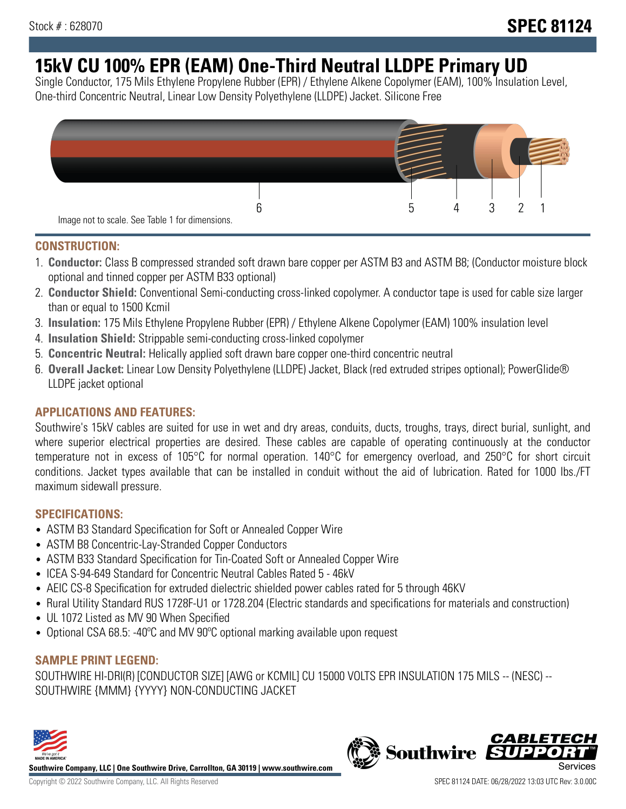# **15kV CU 100% EPR (EAM) One-Third Neutral LLDPE Primary UD**

Single Conductor, 175 Mils Ethylene Propylene Rubber (EPR) / Ethylene Alkene Copolymer (EAM), 100% Insulation Level, One-third Concentric Neutral, Linear Low Density Polyethylene (LLDPE) Jacket. Silicone Free



### **CONSTRUCTION:**

- 1. **Conductor:** Class B compressed stranded soft drawn bare copper per ASTM B3 and ASTM B8; (Conductor moisture block optional and tinned copper per ASTM B33 optional)
- 2. **Conductor Shield:** Conventional Semi-conducting cross-linked copolymer. A conductor tape is used for cable size larger than or equal to 1500 Kcmil
- 3. **Insulation:** 175 Mils Ethylene Propylene Rubber (EPR) / Ethylene Alkene Copolymer (EAM) 100% insulation level
- 4. **Insulation Shield:** Strippable semi-conducting cross-linked copolymer
- 5. **Concentric Neutral:** Helically applied soft drawn bare copper one-third concentric neutral
- 6. **Overall Jacket:** Linear Low Density Polyethylene (LLDPE) Jacket, Black (red extruded stripes optional); PowerGlide® LLDPE jacket optional

### **APPLICATIONS AND FEATURES:**

Southwire's 15kV cables are suited for use in wet and dry areas, conduits, ducts, troughs, trays, direct burial, sunlight, and where superior electrical properties are desired. These cables are capable of operating continuously at the conductor temperature not in excess of 105°C for normal operation. 140°C for emergency overload, and 250°C for short circuit conditions. Jacket types available that can be installed in conduit without the aid of lubrication. Rated for 1000 lbs./FT maximum sidewall pressure.

### **SPECIFICATIONS:**

- ASTM B3 Standard Specification for Soft or Annealed Copper Wire
- ASTM B8 Concentric-Lay-Stranded Copper Conductors
- ASTM B33 Standard Specification for Tin-Coated Soft or Annealed Copper Wire
- ICEA S-94-649 Standard for Concentric Neutral Cables Rated 5 46kV
- AEIC CS-8 Specification for extruded dielectric shielded power cables rated for 5 through 46KV
- Rural Utility Standard RUS 1728F-U1 or 1728.204 (Electric standards and specifications for materials and construction)
- UL 1072 Listed as MV 90 When Specified
- Optional CSA 68.5: -40°C and MV 90°C optional marking available upon request

### **SAMPLE PRINT LEGEND:**

SOUTHWIRE HI-DRI(R) [CONDUCTOR SIZE] [AWG or KCMIL] CU 15000 VOLTS EPR INSULATION 175 MILS -- (NESC) -- SOUTHWIRE {MMM} {YYYY} NON-CONDUCTING JACKET



**Southwire Company, LLC | One Southwire Drive, Carrollton, GA 30119 | www.southwire.com**